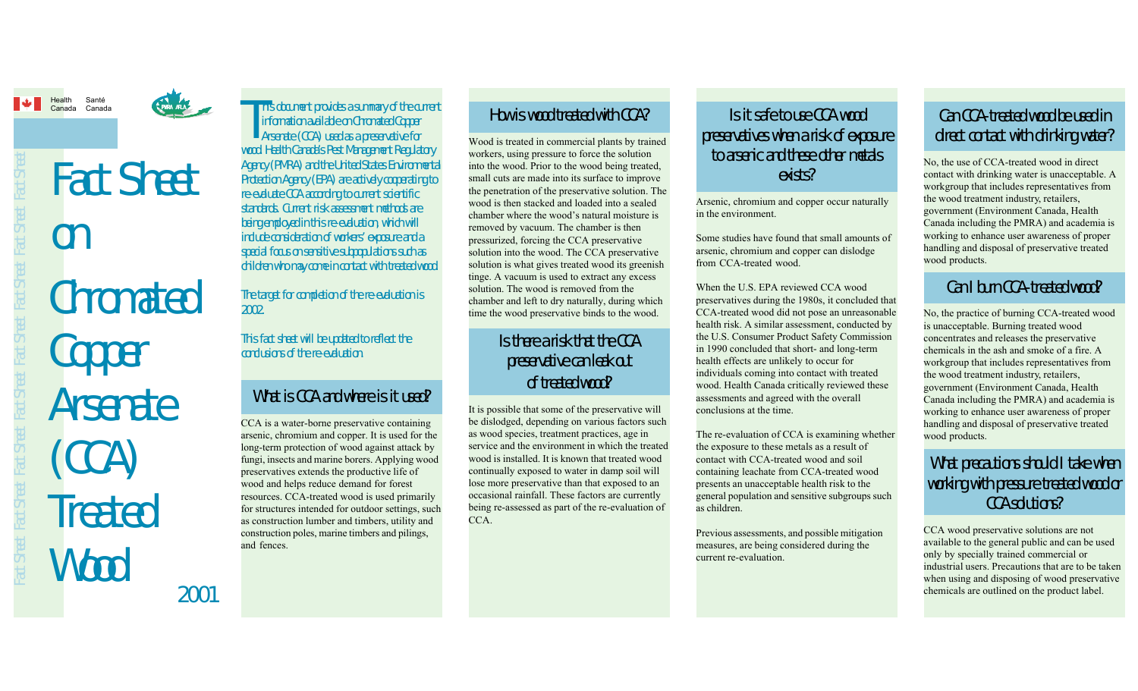Santé



# Chromated Copper **Arsenate** (CCA) **Treated** Wood Fact Sheet on

2001

#### This document provides a summary of the current<br>
information available on Chromated Copper<br>
Arsenate (CCA) used as a preservative for<br>
used Health Copper Coard Management Degulator information available on Chromated Copper Arsenate (CCA) used as a preservative for wood. Health Canada's Pest Management Regulatory Agency (PMRA) and the United States Environmental Protection Agency (EPA) are actively cooperating to re-evaluate CCA according to current scientific standards. Current risk assessment methods are being employed in this re-evaluation, which will include consideration of workers' exposure and a special focus on sensitive subpopulations such as children who may come in contact with treated wood.

The target for completion of the re-evaluation is 2002.

This fact sheet will be updated to reflect the conclusions of the re-evaluation.

# What is CCA and where is it used?

CCA is a water-borne preservative containing arsenic, chromium and copper. It is used for the long-term protection of wood against attack by fungi, insects and marine borers. Applying wood preservatives extends the productive life of wood and helps reduce demand for forest resources. CCA-treated wood is used primarily for structures intended for outdoor settings, such as construction lumber and timbers, utility and construction poles, marine timbers and pilings, and fences.

#### How is wood treated with CCA?

Wood is treated in commercial plants by trained workers, using pressure to force the solution into the wood. Prior to the wood being treated, small cuts are made into its surface to improve the penetration of the preservative solution. The wood is then stacked and loaded into a sealed chamber where the wood's natural moisture is removed by vacuum. The chamber is then pressurized, forcing the CCA preservative solution into the wood. The CCA preservative solution is what gives treated wood its greenish tinge. A vacuum is used to extract any excess solution. The wood is removed from the chamber and left to dry naturally, during which time the wood preservative binds to the wood.

### Is there a risk that the CCA preservative can leak out of treated wood?

It is possible that some of the preservative will be dislodged, depending on various factors such as wood species, treatment practices, age in service and the environment in which the treated wood is installed. It is known that treated wood continually exposed to water in damp soil will lose more preservative than that exposed to an occasional rainfall. These factors are currently being re-assessed as part of the re-evaluation of CCA.

## Is it safe to use CCA wood preservatives when a risk of exposure to arsenic and these other metals exists?

Arsenic, chromium and copper occur naturally in the environment.

Some studies have found that small amounts of arsenic, chromium and copper can dislodge from CCA-treated wood.

When the U.S. EPA reviewed CCA wood preservatives during the 1980s, it concluded that CCA-treated wood did not pose an unreasonable health risk. A similar assessment, conducted by the U.S. Consumer Product Safety Commission in 1990 concluded that short- and long-term health effects are unlikely to occur for individuals coming into contact with treated wood. Health Canada critically reviewed these assessments and agreed with the overall conclusions at the time.

The re-evaluation of CCA is examining whether the exposure to these metals as a result of contact with CCA-treated wood and soil containing leachate from CCA-treated wood presents an unacceptable health risk to the general population and sensitive subgroups such as children.

Previous assessments, and possible mitigation measures, are being considered during the current re-evaluation.

# Can CCA-treated wood be used in direct contact with drinking water?

No, the use of CCA-treated wood in direct contact with drinking water is unacceptable. A workgroup that includes representatives from the wood treatment industry, retailers, government (Environment Canada, Health Canada including the PMRA) and academia is working to enhance user awareness of proper handling and disposal of preservative treated wood products.

## Can I burn CCA-treated wood?

No, the practice of burning CCA-treated wood is unacceptable. Burning treated wood concentrates and releases the preservative chemicals in the ash and smoke of a fire. A workgroup that includes representatives from the wood treatment industry, retailers, government (Environment Canada, Health Canada including the PMRA) and academia is working to enhance user awareness of proper handling and disposal of preservative treated wood products.

# What precautions should I take when working with pressure treated wood or CCA solutions?

CCA wood preservative solutions are not available to the general public and can be used only by specially trained commercial or industrial users. Precautions that are to be taken when using and disposing of wood preservative chemicals are outlined on the product label.

Fact Sheet Fact Sheet Fact Sheet Fact Sheet Fact Sheet Fact Sheet Fact Sheet Fact Sheet